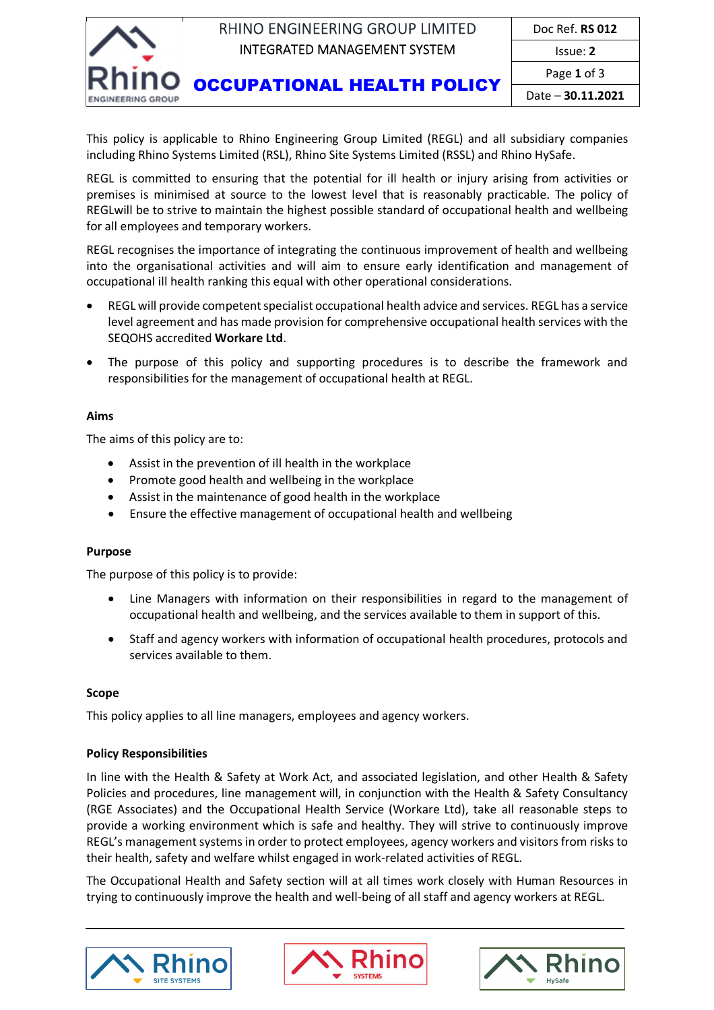

Date – **30.11.2021**

This policy is applicable to Rhino Engineering Group Limited (REGL) and all subsidiary companies including Rhino Systems Limited (RSL), Rhino Site Systems Limited (RSSL) and Rhino HySafe.

REGL is committed to ensuring that the potential for ill health or injury arising from activities or premises is minimised at source to the lowest level that is reasonably practicable. The policy of REGLwill be to strive to maintain the highest possible standard of occupational health and wellbeing for all employees and temporary workers.

REGL recognises the importance of integrating the continuous improvement of health and wellbeing into the organisational activities and will aim to ensure early identification and management of occupational ill health ranking this equal with other operational considerations.

- REGL will provide competent specialist occupational health advice and services. REGL has a service level agreement and has made provision for comprehensive occupational health services with the SEQOHS accredited **Workare Ltd**.
- The purpose of this policy and supporting procedures is to describe the framework and responsibilities for the management of occupational health at REGL.

### **Aims**

The aims of this policy are to:

- Assist in the prevention of ill health in the workplace
- Promote good health and wellbeing in the workplace
- Assist in the maintenance of good health in the workplace
- Ensure the effective management of occupational health and wellbeing

# **Purpose**

The purpose of this policy is to provide:

- Line Managers with information on their responsibilities in regard to the management of occupational health and wellbeing, and the services available to them in support of this.
- Staff and agency workers with information of occupational health procedures, protocols and services available to them.

# **Scope**

This policy applies to all line managers, employees and agency workers.

### **Policy Responsibilities**

In line with the Health & Safety at Work Act, and associated legislation, and other Health & Safety Policies and procedures, line management will, in conjunction with the Health & Safety Consultancy (RGE Associates) and the Occupational Health Service (Workare Ltd), take all reasonable steps to provide a working environment which is safe and healthy. They will strive to continuously improve REGL's management systems in order to protect employees, agency workers and visitors from risks to their health, safety and welfare whilst engaged in work‐related activities of REGL.

The Occupational Health and Safety section will at all times work closely with Human Resources in trying to continuously improve the health and well-being of all staff and agency workers at REGL.





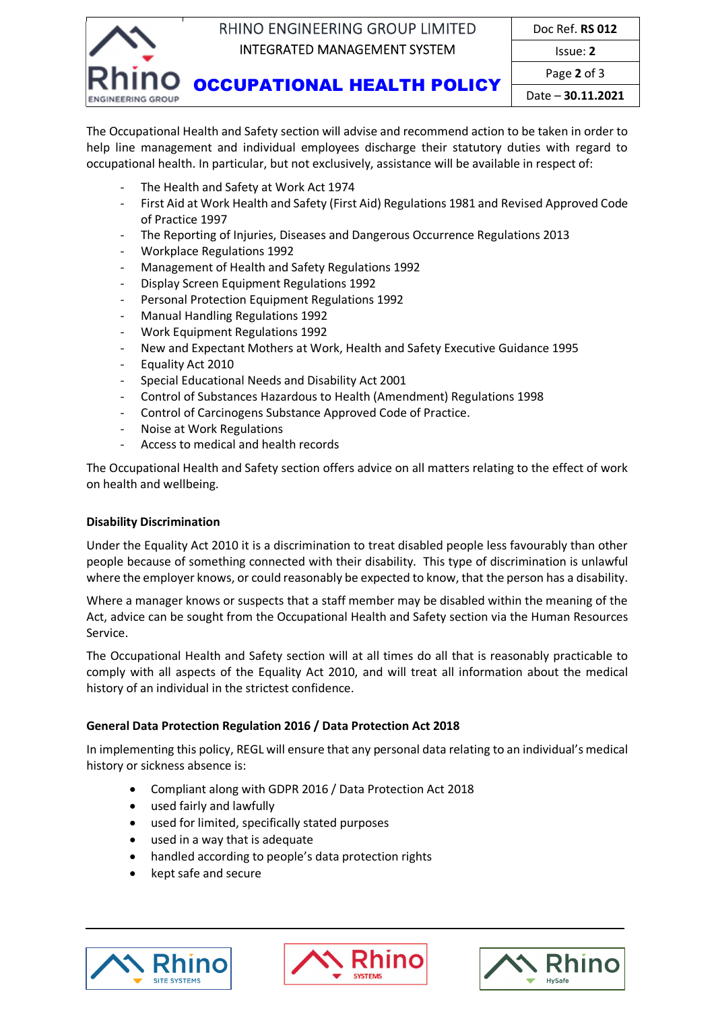

Date – **30.11.2021**

The Occupational Health and Safety section will advise and recommend action to be taken in order to help line management and individual employees discharge their statutory duties with regard to occupational health. In particular, but not exclusively, assistance will be available in respect of:

- ‐ The Health and Safety at Work Act 1974
- ‐ First Aid at Work Health and Safety (First Aid) Regulations 1981 and Revised Approved Code of Practice 1997
- ‐ The Reporting of Injuries, Diseases and Dangerous Occurrence Regulations 2013
- ‐ Workplace Regulations 1992
- ‐ Management of Health and Safety Regulations 1992
- ‐ Display Screen Equipment Regulations 1992
- ‐ Personal Protection Equipment Regulations 1992
- ‐ Manual Handling Regulations 1992
- ‐ Work Equipment Regulations 1992
- ‐ New and Expectant Mothers at Work, Health and Safety Executive Guidance 1995
- ‐ Equality Act 2010
- ‐ Special Educational Needs and Disability Act 2001
- ‐ Control of Substances Hazardous to Health (Amendment) Regulations 1998
- ‐ Control of Carcinogens Substance Approved Code of Practice.
- ‐ Noise at Work Regulations
- ‐ Access to medical and health records

The Occupational Health and Safety section offers advice on all matters relating to the effect of work on health and wellbeing.

### **Disability Discrimination**

Under the Equality Act 2010 it is a discrimination to treat disabled people less favourably than other people because of something connected with their disability. This type of discrimination is unlawful where the employer knows, or could reasonably be expected to know, that the person has a disability.

Where a manager knows or suspects that a staff member may be disabled within the meaning of the Act, advice can be sought from the Occupational Health and Safety section via the Human Resources Service.

The Occupational Health and Safety section will at all times do all that is reasonably practicable to comply with all aspects of the Equality Act 2010, and will treat all information about the medical history of an individual in the strictest confidence.

### **General Data Protection Regulation 2016 / Data Protection Act 2018**

In implementing this policy, REGL will ensure that any personal data relating to an individual's medical history or sickness absence is:

- Compliant along with GDPR 2016 / Data Protection Act 2018
- used fairly and lawfully
- used for limited, specifically stated purposes
- used in a way that is adequate
- handled according to people's data protection rights
- kept safe and secure